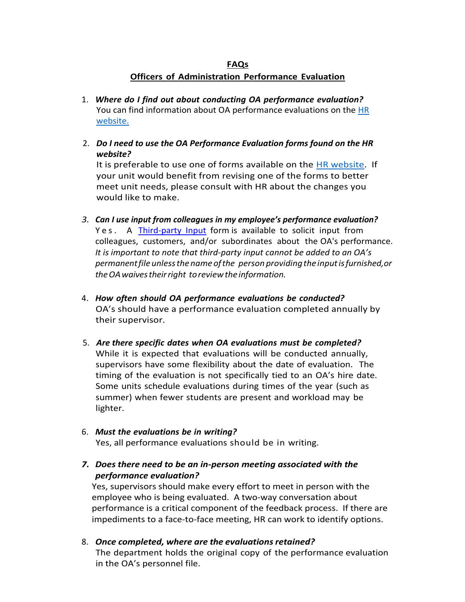# **FAQs Officers of Administration Performance Evaluation**

- 1. *Where do I find out about conducting OA performance evaluation?* You can find information about OA performance evaluations on the [HR](https://hr.uoregon.edu/employee-labor-relations/performance-management/officer-administration-oa-performance-evaluations)  [website.](https://hr.uoregon.edu/employee-labor-relations/performance-management/officer-administration-oa-performance-evaluations)
- 2. *Do I need to use the OA Performance Evaluation forms found on the HR website?*

It is preferable to use one of forms available on the [HR website.](http://hr.uoregon.edu/employee-labor-relations/performance-management/oa-performance-evaluation/performance-evaluation) If your unit would benefit from revising one of the forms to better meet unit needs, please consult with HR about the changes you would like to make.

- *3. Can I use input from colleagues in my employee's performance evaluation?* Yes. A [Third-party](https://hr.uoregon.edu/oa/oa-performance-management-overview/attachments/oa-performance-appraisal-form-third-party-input) Input form is available to solicit input from colleagues, customers, and/or subordinates about the OA's performance. *It is important to note that third-party input cannot be added to an OA's permanentfileunlessthenameofthe person providingthe inputisfurnished, or theOAwaivestheirright toreviewtheinformation.*
- 4. *How often should OA performance evaluations be conducted?* OA's should have a performance evaluation completed annually by their supervisor.
- 5. *Are there specific dates when OA evaluations must be completed?* While it is expected that evaluations will be conducted annually, supervisors have some flexibility about the date of evaluation. The timing of the evaluation is not specifically tied to an OA's hire date. Some units schedule evaluations during times of the year (such as summer) when fewer students are present and workload may be lighter.
- 6. *Must the evaluations be in writing?* Yes, all performance evaluations should be in writing.
- *7. Does there need to be an in-person meeting associated with the performance evaluation?*

Yes, supervisors should make every effort to meet in person with the employee who is being evaluated. A two-way conversation about performance is a critical component of the feedback process. If there are impediments to a face-to-face meeting, HR can work to identify options.

8. *Once completed, where are the evaluationsretained?* The department holds the original copy of the performance evaluation in the OA's personnel file.